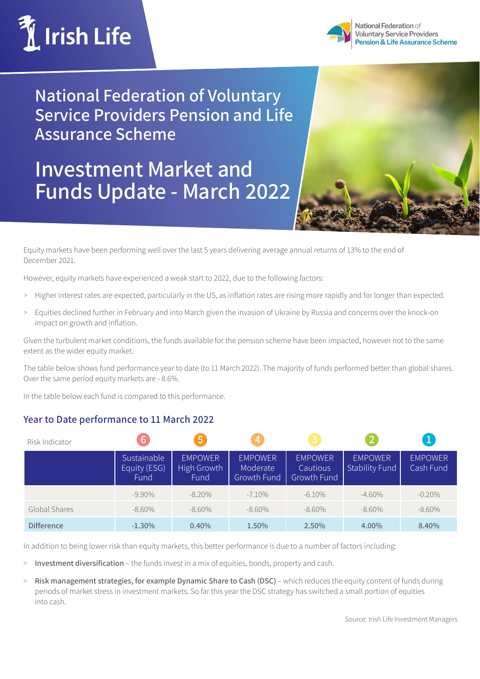



National Federation of **Voluntary Service Providers** Pension & Life Assurance Scheme

**National Federation of Voluntary Service Providers Pension and Life Assurance Scheme**

## **Investment Market and Funds Update - March 2022**



Equity markets have been performing well over the last 5 years delivering average annual returns of 13% to the end of December 2021.

However, equity markets have experienced a weak start to 2022, due to the following factors:

- > Higher interest rates are expected, particularly in the US, as inflation rates are rising more rapidly and for longer than expected.
- > Equities declined further in February and into March given the invasion of Ukraine by Russia and concerns over the knock-on impact on growth and inflation.

Given the turbulent market conditions, the funds available for the pension scheme have been impacted, however not to the same extent as the wider equity market.

The table below shows fund performance year to date (to 11 March 2022). The majority of funds performed better than global shares. Over the same period equity markets are - 8.6%.

In the table below each fund is compared to this performance.

## **Year to Date performance to 11 March 2022**

| Risk Indicator    | 16                                  | 15,                                   | $\overline{4}$                            | 3                                         |                                         | ц                           |
|-------------------|-------------------------------------|---------------------------------------|-------------------------------------------|-------------------------------------------|-----------------------------------------|-----------------------------|
|                   | Sustainable<br>Equity (ESG)<br>Fund | <b>EMPOWER</b><br>High Growth<br>Fund | <b>EMPOWER</b><br>Moderate<br>Growth Fund | <b>EMPOWER</b><br>Cautious<br>Growth Fund | <b>EMPOWER</b><br><b>Stability Fund</b> | <b>EMPOWER</b><br>Cash Fund |
|                   | $-9.90\%$                           | $-8.20\%$                             | $-7.10\%$                                 | $-6.10\%$                                 | $-4.60\%$                               | $-0.20\%$                   |
| Global Shares     | $-8.60\%$                           | $-8.60\%$                             | $-8.60\%$                                 | $-8.60\%$                                 | $-8.60\%$                               | $-8.60\%$                   |
| <b>Difference</b> | $-1.30%$                            | 0.40%                                 | 1.50%                                     | 2.50%                                     | 4.00%                                   | 8.40%                       |

In addition to being lower risk than equity markets, this better performance is due to a number of factors including:

- > **Investment diversification** the funds invest in a mix of equities, bonds, property and cash.
- > **Risk management strategies, for example Dynamic Share to Cash (DSC)** which reduces the equity content of funds during periods of market stress in investment markets. So far this year the DSC strategy has switched a small portion of equities into cash.